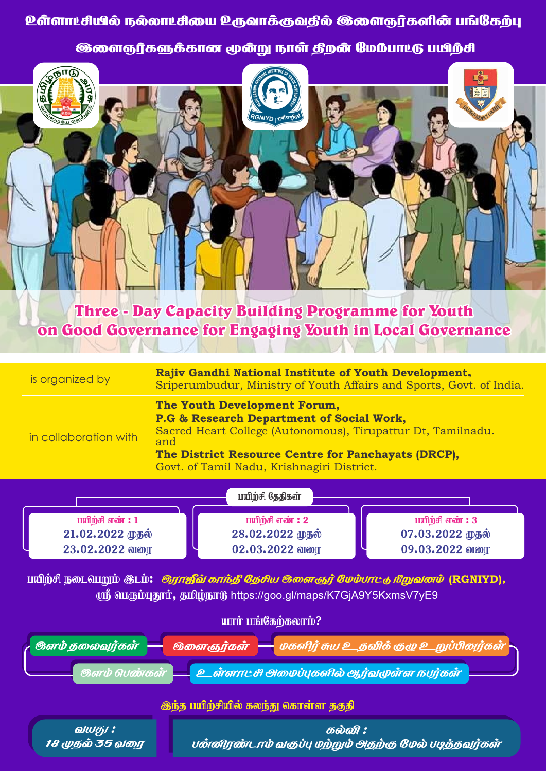**ூரைநர்களுக்கான மூன்று நாள் தீறன் மேம்பாட்டு பயிற்சி** 



**Three - Day Capacity Building Programme for Youth** on Good Governance for Engaging Youth in Local Governance



வயது: கல்வி : 18 முதல் 35 வரை பன்னிரண்டாம் வகுப்பு மற்றும் அதற்கு மேல் படித்தவர்கள்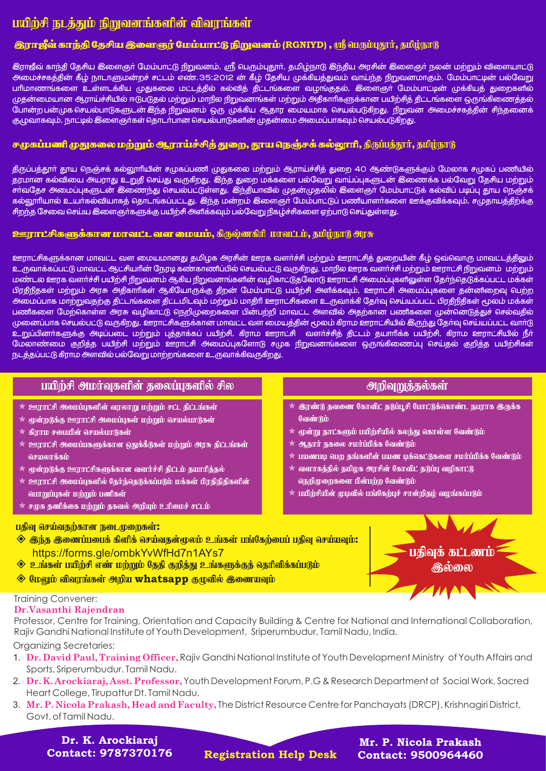# பயிற்சி நடத்தும் நிறுவனங்களின் விவரங்கள்

## **இராஜீவ் காந்தி தேசிய இளைஞர் மேம்பாட்டு நிறுவனம் (RGNIYD) , ரூ** ியரும்புதூர், தமிழ்நாடு

.<br>இராஜீவ் காந்தி தேசிய இளைஞா் மேம்பாட்டு நிறுவனம், ஸ்ரீ வெரும்புதூா், தமிழ்நாடு இந்திய அரசின் இளைஞா் நலன் மற்றும் விளையாட்டு அமைச்சகக்கின் கீம் நாடாளுமன்றச் சட்டம் எண்.35:2012 ன் கீம் கேசிய முக்கியக்துவம் வாய்ந்த நிறுவனமாகும். மேம்பாட்டின் பல்வேறு பாிமாணங்களை உள்ளடக்கிய முதுகலை மட்டத்தில் கல்வித் திட்டங்களை வழங்குதல், இளைஞா மேம்பாட்டின் முக்கியத் துறைகளில் முதன்மையான ஆராய்ச்சியில் ஈடுபடுதல் மற்றும் மாநில நிறுவனங்கள் மற்றும் அதீகாரிகளுக்கான பயிற்சித் தீட்டங்களை ஒருங்கீணைத்தல் போன்ற பன்முக செயல்பாடுகளுடன் இந்த நிறுவனம் ஒரு முக்கிய ஆதார மையமாக செயல்படுகிறது. நிறுவன அமைச்சகத்தின் சிந்தனைக் கு,முவாகவும், நாட்டில் இளைஞர்கள் தொடர்பான செயல்பாடுகளின் முதன்மை அமைப்பாகவும் செயல்படுகிறது.

### சுமுகப்பணி முதுகலை மற்றும் ஆராய்ச்சித் துறை, தூய நெஞ்சக் கல்லூரி, திருப்பத்தூர், தமிழ்நாடு

திருப்பத்தூா் தூய நெஞ்சக் கல்லூாியின் சமுகப்பணி முதுகலை மற்றும் ஆராய்ச்சித் துறை 4O ஆண்டுகளுக்கும் மேலாக சமுகப் பணியில் தரமான கல்வியை அயராது உறுதி செய்து வருகிறது. இந்த துறை மக்களை பல்வேறு வாய்ப்புகளுடன் இணைக்க பல்வேறு தேசிய மற்றும் .<br>சாவதேச அமைப்புகளுடன் இணைந்து செயல்பட்டுள்ளது. இந்தியாவில் முதன்முதலில் இளைஞா் மேம்பாட்டுக் கல்விப் படிப்பு தாய நெஞ்சக் கல்லூரியால் உயர்கல்வியாகத் தொடங்கப்பட்டது. இந்த மன்றம் இளைஞர் மேம்பாட்டுப் பணியாளர்களை ஊக்குவிக்கவும், சமு<u>தாயக்கிற்க்கு</u> சிறந்த சேவை செய்ய இளைஞா்களுக்கு பயிற்சி அளிக்கவும் பல்வேறு நிகழ்ச்சிகளை ஏற்பாடு செய்துள்ளது.

#### <mark>ஊராட்சிகளுக்கான மாவட்ட வள மையம்,</mark> கிருஷ்னகிரி மாவட்டம், தமிழ்நாடு அரசு

ஊராட்சிகளுக்கான மாவட்ட வள மையமானது தமிழக அரசின் ஊரக வளர்ச்சி மற்றும் ஊராட்சித் துறையின் கீழ் ஒவ்வொரு மாவட்டத்திலும் உருவாக்கப்பட்டு மாவட்ட ஆட்சியாின் நேரடி கண்காணிப்பில் செயல்பட்டு வருகிறது. மாநில ஊரக வளா்ச்சி மற்றும் ஊராட்சி நிறுவனம் மற்றும் மண்டல ஊரக வளர்ச்சி பயிற்சி நீறுவனம் ஆகிய நிறுவனங்களின் வழிகாட்டுதலோடு ஊராட்சி அமைப்புகளிலுள்ள தேர்ந்தெடுக்கப்பட்ட மக்கள் பிரதிநீதகள் மற்றும் அரசு அதீகாரிகள் ஆகியோருக்கு திறன் மேம்பாட்டு பயிற்சி அளிக்கவும், ஊராட்சி அமைப்புகளை தன்னிறைவு பெற்ற அமைப்பாக மாற்றுவதற்கு திட்டங்களை திட்டமிடவும் மற்றும் மாதிரி ஊராட்சிகளை உருவாக்கி கேர்வு செய்யப்பட்ட பிரதிநிதிகள் மூலம் மக்கள் .<br>பணிகளை மேற்கொள்ள அரசு வழிகாட்டு நெறிமுறைகளை பின்பற்றி மாவட்ட அளவில் அதற்கான பணிகளை முன்னெடுத்துச் செல்வதில் முனைப்பாக செயல்பட்டு வருகிறது. ஊராட்சிகளுக்கான மாவட்ட வள மையத்தின் மூலம் கீராம ஊராட்சியில் இருந்து தேர்வு செய்யப்பட்ட வார்டு .<br>உறுப்பினா்களுக்கு அடிப்படை மற்றும் புத்தாக்கப் பயிற்சி, கிராம ஊராட்சி வளா்ச்சித் திட்டம் தயாாிக்க பயிற்சி, கிராம ஊராட்சியில் நீா் மேலாண்மை குறித்த பயிற்சி மற்றும் ஊராட்சி அமைப்புகளோடு சமுக நிறுவனங்களை ஒருங்கிணைப்பு செய்தல் குறித்த பயிற்சிகள் நடத்தப்பட்டு கிராம அளவில் பல்வேறு மாற்றங்களை உருவாக்கிவருகிறது.

| பயிற்சி அமர்வுகளின் தலைப்புகளில் சில                                                                                                                                                                                                                                                                                                                                                                                                                                     |                                                                                                                                                                                                                                                                                                                                                                                                                      |
|--------------------------------------------------------------------------------------------------------------------------------------------------------------------------------------------------------------------------------------------------------------------------------------------------------------------------------------------------------------------------------------------------------------------------------------------------------------------------|----------------------------------------------------------------------------------------------------------------------------------------------------------------------------------------------------------------------------------------------------------------------------------------------------------------------------------------------------------------------------------------------------------------------|
| $*$ ஊராட்சி அமைப்புகளின் வரலாறு மற்றும் சட்ட திட்டங்கள்<br>$*$ மூன்றடுக்கு ஊராட்சி அமைப்புகள் மற்றும் செயல்பாடுகள்<br>$*$ கிராம சபையின் செயல்பாடுகள்<br>$*$ ஊராட்சி அமைப்பகளுக்கான ஒதுக்கீடுகள் மற்றும் அரசு திட்டங்கள்<br>செயலாக்கம்<br>$\ast$ மூன்றடுக்கு ஊராட்சிகளுக்கான வளர்ச்சி திட்டம் தயாரித்தல்<br>$\ast$ ஊராட்சி அமைப்புகளில் தேர்ந்தெடுக்கப்படும் மக்கள் பிரதிநிதிகளின்<br>வாறுப்புகள் மற்றும் பணிகள்<br>$*$ சமுக தணிக்கை மற்றும் தகவல் அறியும் உரிமைச் சட்டம் | $\star$ இரண்டு தவணை கோவிட் தடுப்பூசி போட்டுக்கொண்ட நபராக இருக்க<br>வேண்டும்<br>$\ast$ மூன்று நாட்களும் பயிற்சியில் கலந்து கொள்ள வேண்டும்<br>$*$ ஆதார் நகலை சமர்ப்பிக்க வேண்டும்<br>$\,\,\ast\,$ பயணபடி பெற தங்களின் பயண டிக்கெட்டுகளை சமர்ப்பிக்க வேண்டும்<br>$*$ வளாகத்தில் தமிழக அரசின் கோவிட் தடுப்பு வழிகாட்டு<br>நெறிமுறைகளை பின்பற்ற வேண்டும்<br>$\ast$ பயிற்சியின் முழவில் பங்கேற்புச் சான்றிதழ் வழங்கப்படும் |
| பதிவு செய்வதற்கான நடைமுறைகள்:<br>$\diamondsuit$ இந்த இணைப்பபைக் கிளிக் செய்வதன்மூலம் உங்கள் பங்கேற்பைப் பதிவு செய்யவும்:<br>https://forms.gle/ombkYvWfHd7n1AYs7<br>$\Diamond$ உங்கள் பயிற்சி எண் மற்றும் தேதி குறித்து உங்களுக்குத் தெரிவிக்கப்படும்<br>◆ மேலும் விவரங்கள் அறிய whatsapp குழுவில் இணையவும்<br>Training Convener                                                                                                                                          | பதிவுக் கட்டணம்<br>குல்லை                                                                                                                                                                                                                                                                                                                                                                                            |

#### ning Convener: Dr. Vasanthi Rajendran

Professor, Centre for Training, Orientation and Capacity Building & Centre for National and International Collaboration, Rajiv Gandhi National Institute of Youth Development, Sriperumbudur, Tamil Nadu, India.

**Organizing Secretaries:** 

- 1. Dr. David Paul, Training Officer, Rajiv Gandhi National Institute of Youth Development Ministry of Youth Affairs and Sports, Sriperumbudur. Tamil Nadu.
- 2. Dr. K. Arockiaraj, Asst. Professor, Youth Development Forum, P.G & Research Department of Social Work, Sacred Heart College, Tirupattur Dt. Tamil Nadu.
- 3. Mr. P. Nicola Prakash, Head and Faculty, The District Resource Centre for Panchayats (DRCP), Krishnagiri District, Govt. of Tamil Nadu.

Dr. K. Arockiarai **Contact: 9787370176** 

**Registration Help Desk** 

Mr. P. Nicola Prakash **Contact: 9500964460**